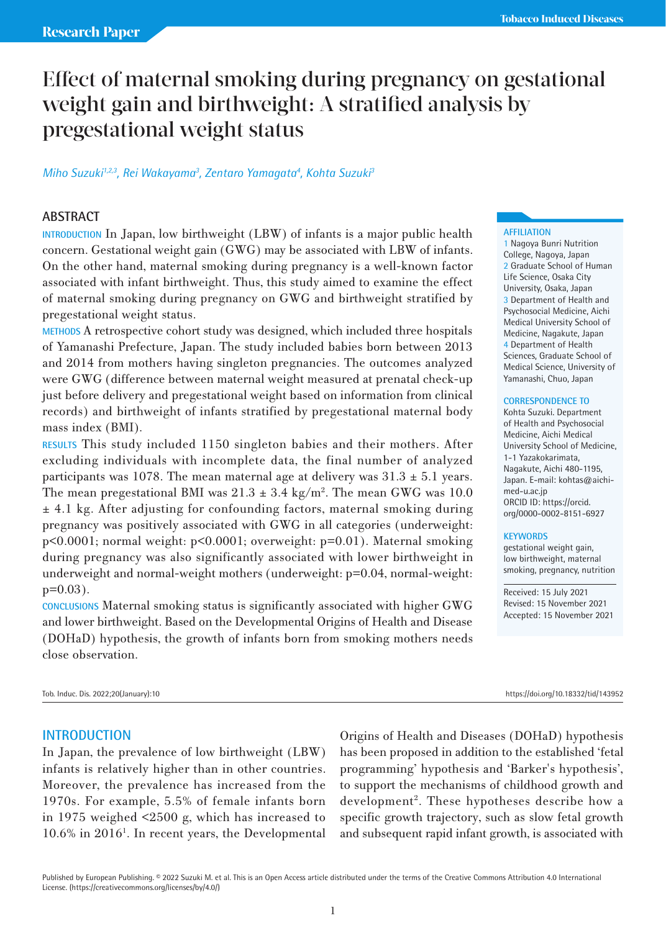# Effect of maternal smoking during pregnancy on gestational weight gain and birthweight: A stratified analysis by pregestational weight status

# *Miho Suzuki1,2,3, Rei Wakayama3 , Zentaro Yamagata4 , Kohta Suzuki3*

# **ABSTRACT**

**INTRODUCTION** In Japan, low birthweight (LBW) of infants is a major public health concern. Gestational weight gain (GWG) may be associated with LBW of infants. On the other hand, maternal smoking during pregnancy is a well-known factor associated with infant birthweight. Thus, this study aimed to examine the effect of maternal smoking during pregnancy on GWG and birthweight stratified by pregestational weight status.

**METHODS** A retrospective cohort study was designed, which included three hospitals of Yamanashi Prefecture, Japan. The study included babies born between 2013 and 2014 from mothers having singleton pregnancies. The outcomes analyzed were GWG (difference between maternal weight measured at prenatal check-up just before delivery and pregestational weight based on information from clinical records) and birthweight of infants stratified by pregestational maternal body mass index (BMI).

**RESULTS** This study included 1150 singleton babies and their mothers. After excluding individuals with incomplete data, the final number of analyzed participants was 1078. The mean maternal age at delivery was  $31.3 \pm 5.1$  years. The mean pregestational BMI was  $21.3 \pm 3.4$  kg/m<sup>2</sup>. The mean GWG was 10.0 ± 4.1 kg. After adjusting for confounding factors, maternal smoking during pregnancy was positively associated with GWG in all categories (underweight: p<0.0001; normal weight: p<0.0001; overweight: p=0.01). Maternal smoking during pregnancy was also significantly associated with lower birthweight in underweight and normal-weight mothers (underweight: p=0.04, normal-weight:  $p=0.03$ ).

**CONCLUSIONS** Maternal smoking status is significantly associated with higher GWG and lower birthweight. Based on the Developmental Origins of Health and Disease (DOHaD) hypothesis, the growth of infants born from smoking mothers needs close observation.

Tob. Induc. Dis. 2022;20(January):10 https://doi.org/10.18332/tid/143952

## **AFFILIATION**

1 Nagoya Bunri Nutrition College, Nagoya, Japan 2 Graduate School of Human Life Science, Osaka City University, Osaka, Japan 3 Department of Health and Psychosocial Medicine, Aichi Medical University School of Medicine, Nagakute, Japan 4 Department of Health Sciences, Graduate School of Medical Science, University of Yamanashi, Chuo, Japan

### **CORRESPONDENCE TO**

Kohta Suzuki. Department of Health and Psychosocial Medicine, Aichi Medical University School of Medicine, 1-1 Yazakokarimata, Nagakute, Aichi 480-1195, Japan. E-mail: kohtas@aichimed-u.ac.jp ORCID ID: https://orcid. org/0000-0002-8151-6927

#### **KEYWORDS**

gestational weight gain, low birthweight, maternal smoking, pregnancy, nutrition

Received: 15 July 2021 Revised: 15 November 2021 Accepted: 15 November 2021

## **INTRODUCTION**

In Japan, the prevalence of low birthweight (LBW) infants is relatively higher than in other countries. Moreover, the prevalence has increased from the 1970s. For example, 5.5% of female infants born in 1975 weighed <2500 g, which has increased to 10.6% in 20161 . In recent years, the Developmental Origins of Health and Diseases (DOHaD) hypothesis has been proposed in addition to the established 'fetal programming' hypothesis and 'Barker's hypothesis', to support the mechanisms of childhood growth and development<sup>2</sup>. These hypotheses describe how a specific growth trajectory, such as slow fetal growth and subsequent rapid infant growth, is associated with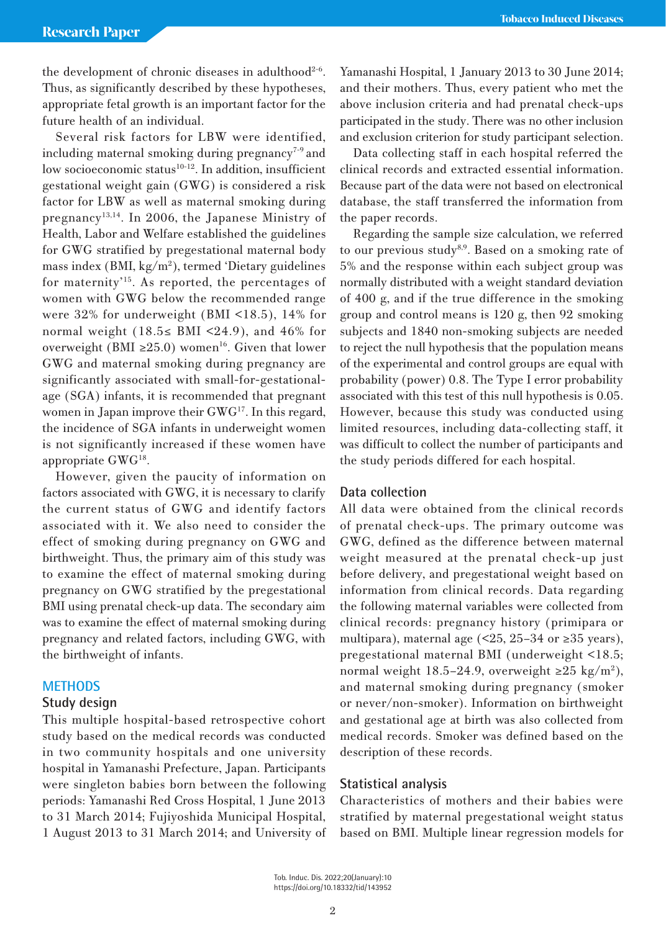the development of chronic diseases in adulthood<sup>2-6</sup>. Thus, as significantly described by these hypotheses, appropriate fetal growth is an important factor for the future health of an individual.

Several risk factors for LBW were identified, including maternal smoking during pregnancy<sup> $7-9$ </sup> and low socioeconomic status<sup>10-12</sup>. In addition, insufficient gestational weight gain (GWG) is considered a risk factor for LBW as well as maternal smoking during pregnancy<sup>13,14</sup>. In 2006, the Japanese Ministry of Health, Labor and Welfare established the guidelines for GWG stratified by pregestational maternal body mass index (BMI, kg/m2 ), termed 'Dietary guidelines for maternity'15. As reported, the percentages of women with GWG below the recommended range were 32% for underweight (BMI <18.5), 14% for normal weight (18.5≤ BMI <24.9), and 46% for overweight (BMI ≥25.0) women<sup>16</sup>. Given that lower GWG and maternal smoking during pregnancy are significantly associated with small-for-gestationalage (SGA) infants, it is recommended that pregnant women in Japan improve their GWG<sup>17</sup>. In this regard, the incidence of SGA infants in underweight women is not significantly increased if these women have appropriate  $GWG^{18}$ .

However, given the paucity of information on factors associated with GWG, it is necessary to clarify the current status of GWG and identify factors associated with it. We also need to consider the effect of smoking during pregnancy on GWG and birthweight. Thus, the primary aim of this study was to examine the effect of maternal smoking during pregnancy on GWG stratified by the pregestational BMI using prenatal check-up data. The secondary aim was to examine the effect of maternal smoking during pregnancy and related factors, including GWG, with the birthweight of infants.

# **METHODS**

## **Study design**

This multiple hospital-based retrospective cohort study based on the medical records was conducted in two community hospitals and one university hospital in Yamanashi Prefecture, Japan. Participants were singleton babies born between the following periods: Yamanashi Red Cross Hospital, 1 June 2013 to 31 March 2014; Fujiyoshida Municipal Hospital, 1 August 2013 to 31 March 2014; and University of Yamanashi Hospital, 1 January 2013 to 30 June 2014; and their mothers. Thus, every patient who met the above inclusion criteria and had prenatal check-ups participated in the study. There was no other inclusion and exclusion criterion for study participant selection.

Data collecting staff in each hospital referred the clinical records and extracted essential information. Because part of the data were not based on electronical database, the staff transferred the information from the paper records.

Regarding the sample size calculation, we referred to our previous study<sup>8,9</sup>. Based on a smoking rate of 5% and the response within each subject group was normally distributed with a weight standard deviation of 400 g, and if the true difference in the smoking group and control means is 120 g, then 92 smoking subjects and 1840 non-smoking subjects are needed to reject the null hypothesis that the population means of the experimental and control groups are equal with probability (power) 0.8. The Type I error probability associated with this test of this null hypothesis is 0.05. However, because this study was conducted using limited resources, including data-collecting staff, it was difficult to collect the number of participants and the study periods differed for each hospital.

## **Data collection**

All data were obtained from the clinical records of prenatal check-ups. The primary outcome was GWG, defined as the difference between maternal weight measured at the prenatal check-up just before delivery, and pregestational weight based on information from clinical records. Data regarding the following maternal variables were collected from clinical records: pregnancy history (primipara or multipara), maternal age  $($  <25, 25–34 or  $\geq$ 35 years), pregestational maternal BMI (underweight <18.5; normal weight 18.5-24.9, overweight ≥25 kg/m<sup>2</sup>), and maternal smoking during pregnancy (smoker or never/non-smoker). Information on birthweight and gestational age at birth was also collected from medical records. Smoker was defined based on the description of these records.

# **Statistical analysis**

Characteristics of mothers and their babies were stratified by maternal pregestational weight status based on BMI. Multiple linear regression models for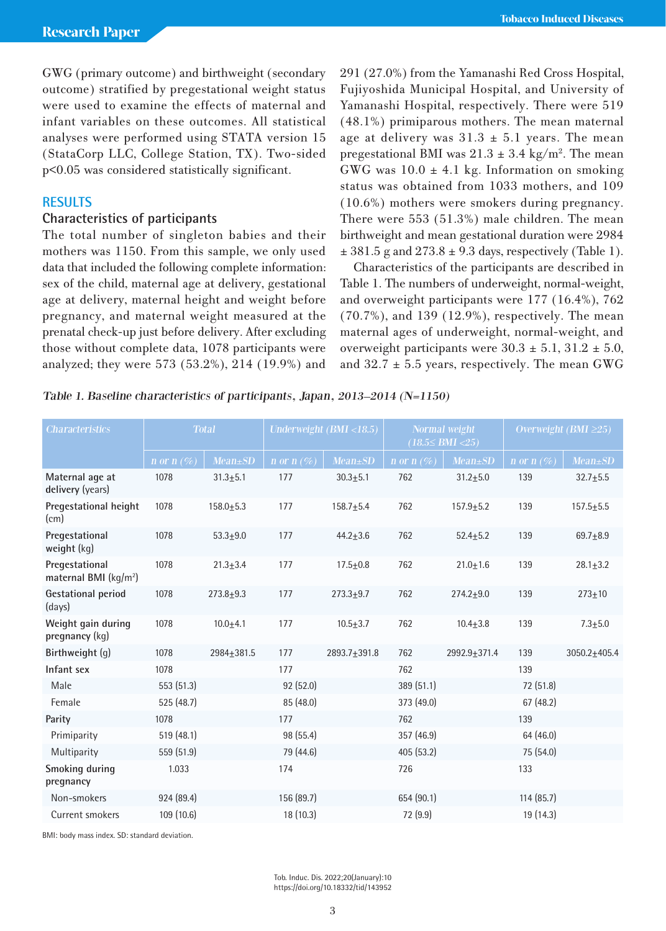GWG (primary outcome) and birthweight (secondary outcome) stratified by pregestational weight status were used to examine the effects of maternal and infant variables on these outcomes. All statistical analyses were performed using STATA version 15 (StataCorp LLC, College Station, TX). Two-sided p<0.05 was considered statistically significant.

# **RESULTS**

# **Characteristics of participants**

The total number of singleton babies and their mothers was 1150. From this sample, we only used data that included the following complete information: sex of the child, maternal age at delivery, gestational age at delivery, maternal height and weight before pregnancy, and maternal weight measured at the prenatal check-up just before delivery. After excluding those without complete data, 1078 participants were analyzed; they were 573 (53.2%), 214 (19.9%) and

291 (27.0%) from the Yamanashi Red Cross Hospital, Fujiyoshida Municipal Hospital, and University of Yamanashi Hospital, respectively. There were 519 (48.1%) primiparous mothers. The mean maternal age at delivery was  $31.3 \pm 5.1$  years. The mean pregestational BMI was  $21.3 \pm 3.4$  kg/m<sup>2</sup>. The mean GWG was  $10.0 \pm 4.1$  kg. Information on smoking status was obtained from 1033 mothers, and 109 (10.6%) mothers were smokers during pregnancy. There were 553 (51.3%) male children. The mean birthweight and mean gestational duration were 2984  $\pm$  381.5 g and 273.8  $\pm$  9.3 days, respectively (Table 1).

Characteristics of the participants are described in Table 1. The numbers of underweight, normal-weight, and overweight participants were 177 (16.4%), 762 (70.7%), and 139 (12.9%), respectively. The mean maternal ages of underweight, normal-weight, and overweight participants were  $30.3 \pm 5.1$ ,  $31.2 \pm 5.0$ , and  $32.7 \pm 5.5$  years, respectively. The mean GWG

## Table 1. Baseline characteristics of participants, Japan, 2013–2014 (N=1150)

| <b>Characteristics</b>                              | <b>Total</b>  |                |               | Underweight (BMI <18.5) |               | Normal weight<br>$(18.5 \leq BMI < 25)$ | Overweight (BMI $\geq$ 25) |                  |  |
|-----------------------------------------------------|---------------|----------------|---------------|-------------------------|---------------|-----------------------------------------|----------------------------|------------------|--|
|                                                     | n or n $(\%)$ | $Mean \pm SD$  | n or n $(\%)$ | $Mean \pm SD$           | n or n $(\%)$ | $Mean \pm SD$                           | n or $n \ (\%)$            | $Mean \pm SD$    |  |
| Maternal age at<br>delivery (years)                 | 1078          | $31.3 \pm 5.1$ | 177           | $30.3 + 5.1$            | 762           | $31.2 \pm 5.0$                          | 139                        | $32.7 + 5.5$     |  |
| Pregestational height<br>(cm)                       | 1078          | $158.0 + 5.3$  | 177           | $158.7 + 5.4$           | 762           | $157.9 + 5.2$                           | 139                        | $157.5 + 5.5$    |  |
| Pregestational<br>weight (kg)                       | 1078          | $53.3 + 9.0$   | 177           | $44.2 \pm 3.6$          | 762           | $52.4 \pm 5.2$                          | 139                        | $69.7 + 8.9$     |  |
| Pregestational<br>maternal BMI (kg/m <sup>2</sup> ) | 1078          | $21.3 \pm 3.4$ | 177           | $17.5 \pm 0.8$          | 762           | $21.0 + 1.6$                            | 139                        | $28.1 \pm 3.2$   |  |
| <b>Gestational period</b><br>(days)                 | 1078          | $273.8 + 9.3$  | 177           | $273.3 + 9.7$           | 762           | $274.2 + 9.0$                           | 139                        | $273 + 10$       |  |
| Weight gain during<br>pregnancy (kg)                | 1078          | $10.0 + 4.1$   | 177           | $10.5 + 3.7$            | 762           | $10.4 + 3.8$                            | 139                        | $7.3 + 5.0$      |  |
| Birthweight (q)                                     | 1078          | 2984+381.5     | 177           | 2893.7+391.8            | 762           | 2992.9+371.4                            | 139                        | $3050.2 + 405.4$ |  |
| Infant sex                                          | 1078          |                | 177           |                         | 762           |                                         | 139                        |                  |  |
| Male                                                | 553 (51.3)    |                | 92 (52.0)     |                         | 389 (51.1)    |                                         | 72 (51.8)                  |                  |  |
| Female                                              | 525 (48.7)    |                | 85 (48.0)     |                         | 373 (49.0)    |                                         | 67(48.2)                   |                  |  |
| Parity                                              | 1078          |                | 177           |                         | 762           |                                         | 139                        |                  |  |
| Primiparity                                         | 519(48.1)     |                | 98 (55.4)     |                         | 357 (46.9)    |                                         | 64 (46.0)                  |                  |  |
| Multiparity                                         | 559 (51.9)    |                | 79 (44.6)     |                         | 405(53.2)     |                                         | 75 (54.0)                  |                  |  |
| Smoking during<br>pregnancy                         | 1.033         |                | 174           |                         | 726           |                                         | 133                        |                  |  |
| Non-smokers                                         | 924 (89.4)    |                | 156 (89.7)    |                         | 654 (90.1)    |                                         | 114(85.7)                  |                  |  |
| Current smokers                                     | 109 (10.6)    |                | 18 (10.3)     |                         | 72 (9.9)      |                                         | 19 (14.3)                  |                  |  |

BMI: body mass index. SD: standard deviation.

Tob. Induc. Dis. 2022;20(January):10 https://doi.org/10.18332/tid/143952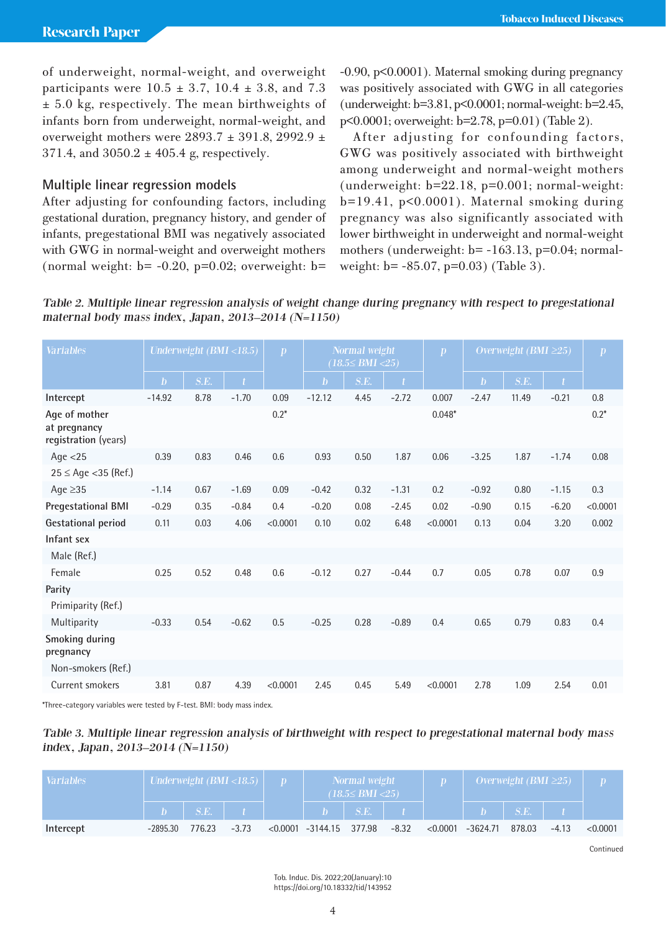of underweight, normal-weight, and overweight participants were  $10.5 \pm 3.7$ ,  $10.4 \pm 3.8$ , and 7.3 ± 5.0 kg, respectively. The mean birthweights of infants born from underweight, normal-weight, and overweight mothers were  $2893.7 \pm 391.8$ , 2992.9  $\pm$  $371.4$ , and  $3050.2 \pm 405.4$  g, respectively.

# **Multiple linear regression models**

After adjusting for confounding factors, including gestational duration, pregnancy history, and gender of infants, pregestational BMI was negatively associated with GWG in normal-weight and overweight mothers (normal weight:  $b = -0.20$ ,  $p=0.02$ ; overweight:  $b=$  -0.90, p<0.0001). Maternal smoking during pregnancy was positively associated with GWG in all categories (underweight: b=3.81, p<0.0001; normal-weight: b=2.45, p<0.0001; overweight: b=2.78, p=0.01) (Table 2).

After adjusting for confounding factors, GWG was positively associated with birthweight among underweight and normal-weight mothers  $(underweight: b=22.18, p=0.001; normal-weight:$  $b=19.41$ ,  $p<0.0001$ ). Maternal smoking during pregnancy was also significantly associated with lower birthweight in underweight and normal-weight mothers (underweight:  $b = -163.13$ ,  $p=0.04$ ; normalweight: b= -85.07, p=0.03) (Table 3).

Table 2. Multiple linear regression analysis of weight change during pregnancy with respect to pregestational maternal body mass index, Japan, 2013–2014 (N=1150)

| Variables<br>Underweight (BMI <18.5)<br>$\boldsymbol{p}$                  | <b>Normal</b> weight<br>$(18.5 \leq BMI < 25)$ | $\boldsymbol{p}$ | Overweight (BMI $\geq$ 25) |       |              | $\boldsymbol{p}$ |
|---------------------------------------------------------------------------|------------------------------------------------|------------------|----------------------------|-------|--------------|------------------|
| $\mathbf{b}$<br>S.E.<br>$\mathbf{b}$                                      | S.E.                                           |                  | $\mathbf{b}$               | S.E.  | $\mathbf{t}$ |                  |
| 8.78<br>$-1.70$<br>0.09<br>$-12.12$<br>Intercept<br>$-14.92$              | $-2.72$<br>4.45                                | 0.007            | $-2.47$                    | 11.49 | $-0.21$      | 0.8              |
| Age of mother<br>$0.2*$<br>at pregnancy<br>registration (years)           |                                                | $0.048*$         |                            |       |              | $0.2*$           |
| 0.39<br>0.83<br>0.46<br>0.6<br>0.93<br>Age $<$ 25                         | 0.50<br>1.87                                   | 0.06             | $-3.25$                    | 1.87  | $-1.74$      | 0.08             |
| $25 \le$ Age < 35 (Ref.)                                                  |                                                |                  |                            |       |              |                  |
| Age $\geq$ 35<br>$-1.69$<br>$-1.14$<br>0.67<br>0.09<br>$-0.42$            | 0.32<br>$-1.31$                                | 0.2              | $-0.92$                    | 0.80  | $-1.15$      | 0.3              |
| <b>Pregestational BMI</b><br>$-0.29$<br>0.35<br>0.4<br>$-0.20$<br>$-0.84$ | $-2.45$<br>0.08                                | 0.02             | $-0.90$                    | 0.15  | $-6.20$      | < 0.0001         |
| <b>Gestational period</b><br>0.03<br>4.06<br>< 0.0001<br>0.11<br>0.10     | 6.48<br>0.02                                   | < 0.0001         | 0.13                       | 0.04  | 3.20         | 0.002            |
| Infant sex                                                                |                                                |                  |                            |       |              |                  |
| Male (Ref.)                                                               |                                                |                  |                            |       |              |                  |
| Female<br>0.48<br>0.6<br>0.25<br>0.52<br>$-0.12$                          | 0.27<br>$-0.44$                                | 0.7              | 0.05                       | 0.78  | 0.07         | 0.9              |
| Parity                                                                    |                                                |                  |                            |       |              |                  |
| Primiparity (Ref.)                                                        |                                                |                  |                            |       |              |                  |
| $-0.33$<br>$-0.62$<br>0.5<br>$-0.25$<br>Multiparity<br>0.54               | $-0.89$<br>0.28                                | 0.4              | 0.65                       | 0.79  | 0.83         | 0.4              |
| Smoking during<br>pregnancy                                               |                                                |                  |                            |       |              |                  |
| Non-smokers (Ref.)                                                        |                                                |                  |                            |       |              |                  |
| Current smokers<br>3.81<br>4.39<br>0.87<br>< 0.0001<br>2.45               | 0.45<br>5.49                                   | < 0.0001         | 2.78                       | 1.09  | 2.54         | 0.01             |

\*Three-category variables were tested by F-test. BMI: body mass index.

Table 3. Multiple linear regression analysis of birthweight with respect to pregestational maternal body mass index, Japan, 2013–2014 (N=1150)

| <b>Variables</b> | Underweight (BMI <18.5) |        | Normal weight<br>$(18.5 \leq BMI < 25)$ |                                  |                    | Overweight (BMI $\geq$ 25) |                      |        |         |          |
|------------------|-------------------------|--------|-----------------------------------------|----------------------------------|--------------------|----------------------------|----------------------|--------|---------|----------|
|                  |                         | S.E.   |                                         |                                  | $b \mid S.E. \mid$ |                            |                      | S.E.   |         |          |
| Intercept        | -2895.30                | 776.23 | $-3.73$                                 | $< 0.0001$ -3144.15 377.98 -8.32 |                    |                            | $< 0.0001 - 3624.71$ | 878.03 | $-4.13$ | < 0.0001 |

**Continued**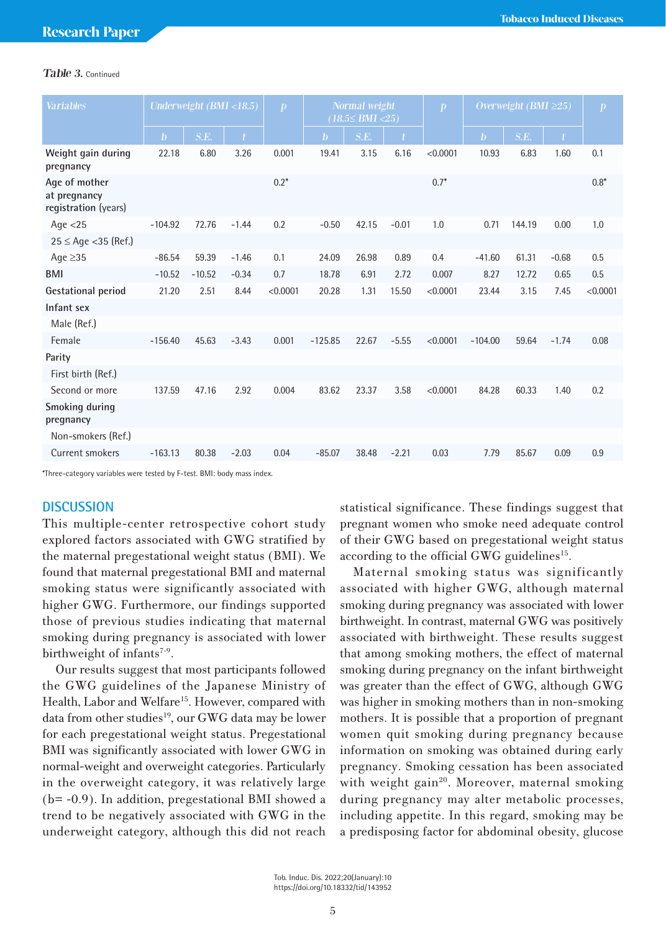## Table 3. Continued

| <b>Variables</b>                                      | Underweight (BMI <18.5) |          | $\boldsymbol{p}$ | <b>Normal</b> weight<br>$(18.5 \leq BMI < 25)$ |              |       | $\boldsymbol{p}$ | Overweight (BMI $\geq$ 25) |              |        | $\boldsymbol{p}$ |          |
|-------------------------------------------------------|-------------------------|----------|------------------|------------------------------------------------|--------------|-------|------------------|----------------------------|--------------|--------|------------------|----------|
|                                                       | $\mathbf{b}$            | S.E.     |                  |                                                | $\mathbf{b}$ | S.E.  | $\mathbf{f}$     |                            | $\mathbf{b}$ | S.E.   | $\mathbf{f}$     |          |
| Weight gain during<br>pregnancy                       | 22.18                   | 6.80     | 3.26             | 0.001                                          | 19.41        | 3.15  | 6.16             | < 0.0001                   | 10.93        | 6.83   | 1.60             | 0.1      |
| Age of mother<br>at pregnancy<br>registration (years) |                         |          |                  | $0.2*$                                         |              |       |                  | $0.7*$                     |              |        |                  | $0.8*$   |
| Age $<$ 25                                            | $-104.92$               | 72.76    | $-1.44$          | 0.2                                            | $-0.50$      | 42.15 | $-0.01$          | 1.0                        | 0.71         | 144.19 | 0.00             | 1.0      |
| $25 \le$ Age < 35 (Ref.)                              |                         |          |                  |                                                |              |       |                  |                            |              |        |                  |          |
| Age $\geq$ 35                                         | $-86.54$                | 59.39    | $-1.46$          | 0.1                                            | 24.09        | 26.98 | 0.89             | 0.4                        | $-41.60$     | 61.31  | $-0.68$          | 0.5      |
| <b>BMI</b>                                            | $-10.52$                | $-10.52$ | $-0.34$          | 0.7                                            | 18.78        | 6.91  | 2.72             | 0.007                      | 8.27         | 12.72  | 0.65             | 0.5      |
| <b>Gestational period</b>                             | 21.20                   | 2.51     | 8.44             | < 0.0001                                       | 20.28        | 1.31  | 15.50            | < 0.0001                   | 23.44        | 3.15   | 7.45             | < 0.0001 |
| Infant sex                                            |                         |          |                  |                                                |              |       |                  |                            |              |        |                  |          |
| Male (Ref.)                                           |                         |          |                  |                                                |              |       |                  |                            |              |        |                  |          |
| Female                                                | $-156.40$               | 45.63    | $-3.43$          | 0.001                                          | $-125.85$    | 22.67 | $-5.55$          | < 0.0001                   | $-104.00$    | 59.64  | $-1.74$          | 0.08     |
| Parity                                                |                         |          |                  |                                                |              |       |                  |                            |              |        |                  |          |
| First birth (Ref.)                                    |                         |          |                  |                                                |              |       |                  |                            |              |        |                  |          |
| Second or more                                        | 137.59                  | 47.16    | 2.92             | 0.004                                          | 83.62        | 23.37 | 3.58             | < 0.0001                   | 84.28        | 60.33  | 1.40             | 0.2      |
| Smoking during<br>pregnancy                           |                         |          |                  |                                                |              |       |                  |                            |              |        |                  |          |
| Non-smokers (Ref.)                                    |                         |          |                  |                                                |              |       |                  |                            |              |        |                  |          |
| Current smokers                                       | $-163.13$               | 80.38    | $-2.03$          | 0.04                                           | $-85.07$     | 38.48 | $-2.21$          | 0.03                       | 7.79         | 85.67  | 0.09             | 0.9      |

\*Three-category variables were tested by F-test. BMI: body mass index.

# **DISCUSSION**

This multiple-center retrospective cohort study explored factors associated with GWG stratified by the maternal pregestational weight status (BMI). We found that maternal pregestational BMI and maternal smoking status were significantly associated with higher GWG. Furthermore, our findings supported those of previous studies indicating that maternal smoking during pregnancy is associated with lower birthweight of infants<sup>7-9</sup>.

Our results suggest that most participants followed the GWG guidelines of the Japanese Ministry of Health, Labor and Welfare<sup>15</sup>. However, compared with data from other studies<sup>19</sup>, our GWG data may be lower for each pregestational weight status. Pregestational BMI was significantly associated with lower GWG in normal-weight and overweight categories. Particularly in the overweight category, it was relatively large (b= -0.9). In addition, pregestational BMI showed a trend to be negatively associated with GWG in the underweight category, although this did not reach statistical significance. These findings suggest that pregnant women who smoke need adequate control of their GWG based on pregestational weight status according to the official GWG guidelines<sup>15</sup>.

Maternal smoking status was significantly associated with higher GWG, although maternal smoking during pregnancy was associated with lower birthweight. In contrast, maternal GWG was positively associated with birthweight. These results suggest that among smoking mothers, the effect of maternal smoking during pregnancy on the infant birthweight was greater than the effect of GWG, although GWG was higher in smoking mothers than in non-smoking mothers. It is possible that a proportion of pregnant women quit smoking during pregnancy because information on smoking was obtained during early pregnancy. Smoking cessation has been associated with weight gain<sup>20</sup>. Moreover, maternal smoking during pregnancy may alter metabolic processes, including appetite. In this regard, smoking may be a predisposing factor for abdominal obesity, glucose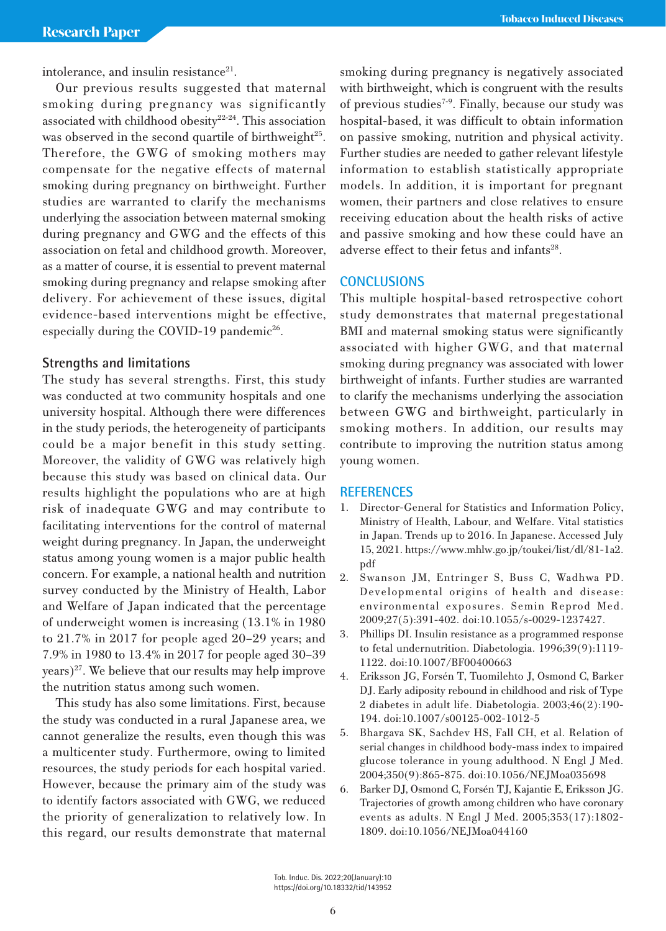intolerance, and insulin resistance<sup>21</sup>.

Our previous results suggested that maternal smoking during pregnancy was significantly associated with childhood obesity<sup>22-24</sup>. This association was observed in the second quartile of birthweight $25$ . Therefore, the GWG of smoking mothers may compensate for the negative effects of maternal smoking during pregnancy on birthweight. Further studies are warranted to clarify the mechanisms underlying the association between maternal smoking during pregnancy and GWG and the effects of this association on fetal and childhood growth. Moreover, as a matter of course, it is essential to prevent maternal smoking during pregnancy and relapse smoking after delivery. For achievement of these issues, digital evidence-based interventions might be effective, especially during the COVID-19 pandemic<sup>26</sup>.

# **Strengths and limitations**

The study has several strengths. First, this study was conducted at two community hospitals and one university hospital. Although there were differences in the study periods, the heterogeneity of participants could be a major benefit in this study setting. Moreover, the validity of GWG was relatively high because this study was based on clinical data. Our results highlight the populations who are at high risk of inadequate GWG and may contribute to facilitating interventions for the control of maternal weight during pregnancy. In Japan, the underweight status among young women is a major public health concern. For example, a national health and nutrition survey conducted by the Ministry of Health, Labor and Welfare of Japan indicated that the percentage of underweight women is increasing (13.1% in 1980 to 21.7% in 2017 for people aged 20–29 years; and 7.9% in 1980 to 13.4% in 2017 for people aged 30–39  $(years)<sup>27</sup>$ . We believe that our results may help improve the nutrition status among such women.

This study has also some limitations. First, because the study was conducted in a rural Japanese area, we cannot generalize the results, even though this was a multicenter study. Furthermore, owing to limited resources, the study periods for each hospital varied. However, because the primary aim of the study was to identify factors associated with GWG, we reduced the priority of generalization to relatively low. In this regard, our results demonstrate that maternal smoking during pregnancy is negatively associated with birthweight, which is congruent with the results of previous studies<sup>7-9</sup>. Finally, because our study was hospital-based, it was difficult to obtain information on passive smoking, nutrition and physical activity. Further studies are needed to gather relevant lifestyle information to establish statistically appropriate models. In addition, it is important for pregnant women, their partners and close relatives to ensure receiving education about the health risks of active and passive smoking and how these could have an adverse effect to their fetus and infants<sup>28</sup>.

# **CONCLUSIONS**

This multiple hospital-based retrospective cohort study demonstrates that maternal pregestational BMI and maternal smoking status were significantly associated with higher GWG, and that maternal smoking during pregnancy was associated with lower birthweight of infants. Further studies are warranted to clarify the mechanisms underlying the association between GWG and birthweight, particularly in smoking mothers. In addition, our results may contribute to improving the nutrition status among young women.

## **REFERENCES**

- 1. Director-General for Statistics and Information Policy, Ministry of Health, Labour, and Welfare. Vital statistics in Japan. Trends up to 2016. In Japanese. Accessed July 15, 2021. https://www.mhlw.go.jp/toukei/list/dl/81-1a2. pdf
- 2. Swanson JM, Entringer S, Buss C, Wadhwa PD. Developmental origins of health and disease: environmental exposures. Semin Reprod Med. 2009;27(5):391-402. doi:10.1055/s-0029-1237427.
- 3. Phillips DI. Insulin resistance as a programmed response to fetal undernutrition. Diabetologia. 1996;39(9):1119- 1122. doi:10.1007/BF00400663
- 4. Eriksson JG, Forsén T, Tuomilehto J, Osmond C, Barker DJ. Early adiposity rebound in childhood and risk of Type 2 diabetes in adult life. Diabetologia. 2003;46(2):190- 194. doi:10.1007/s00125-002-1012-5
- 5. Bhargava SK, Sachdev HS, Fall CH, et al. Relation of serial changes in childhood body-mass index to impaired glucose tolerance in young adulthood. N Engl J Med. 2004;350(9):865-875. doi:10.1056/NEJMoa035698
- 6. Barker DJ, Osmond C, Forsén TJ, Kajantie E, Eriksson JG. Trajectories of growth among children who have coronary events as adults. N Engl J Med. 2005;353(17):1802- 1809. doi:10.1056/NEJMoa044160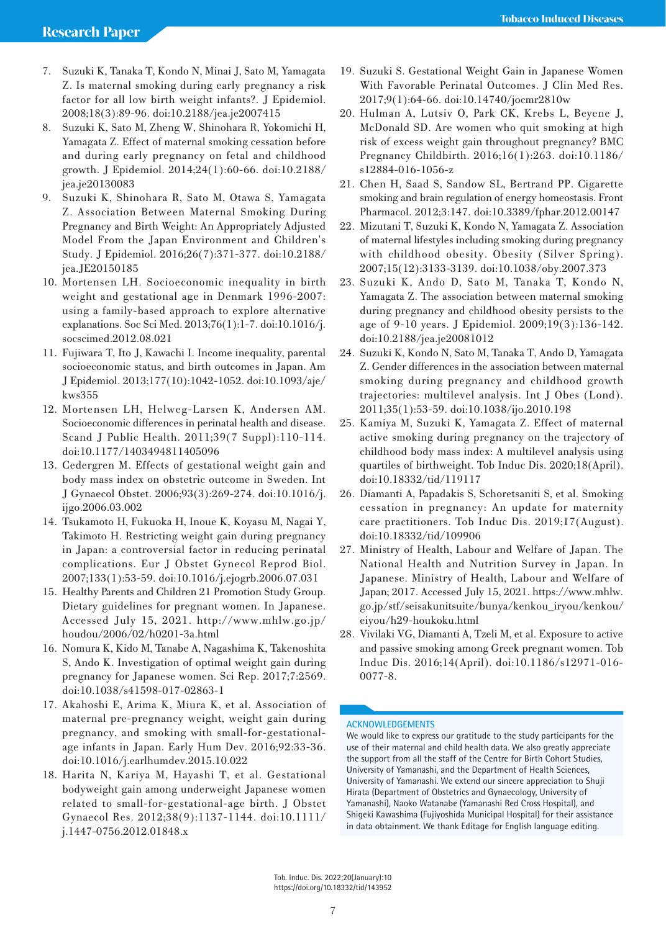- 7. Suzuki K, Tanaka T, Kondo N, Minai J, Sato M, Yamagata Z. Is maternal smoking during early pregnancy a risk factor for all low birth weight infants?. J Epidemiol. 2008;18(3):89-96. doi:10.2188/jea.je2007415
- 8. Suzuki K, Sato M, Zheng W, Shinohara R, Yokomichi H, Yamagata Z. Effect of maternal smoking cessation before and during early pregnancy on fetal and childhood growth. J Epidemiol. 2014;24(1):60-66. doi:10.2188/ jea.je20130083
- 9. Suzuki K, Shinohara R, Sato M, Otawa S, Yamagata Z. Association Between Maternal Smoking During Pregnancy and Birth Weight: An Appropriately Adjusted Model From the Japan Environment and Children's Study. J Epidemiol. 2016;26(7):371-377. doi:10.2188/ jea.JE20150185
- 10. Mortensen LH. Socioeconomic inequality in birth weight and gestational age in Denmark 1996-2007: using a family-based approach to explore alternative explanations. Soc Sci Med. 2013;76(1):1-7. doi:10.1016/j. socscimed.2012.08.021
- 11. Fujiwara T, Ito J, Kawachi I. Income inequality, parental socioeconomic status, and birth outcomes in Japan. Am J Epidemiol. 2013;177(10):1042-1052. doi:10.1093/aje/ kws355
- 12. Mortensen LH, Helweg-Larsen K, Andersen AM. Socioeconomic differences in perinatal health and disease. Scand J Public Health. 2011;39(7 Suppl):110-114. doi:10.1177/1403494811405096
- 13. Cedergren M. Effects of gestational weight gain and body mass index on obstetric outcome in Sweden. Int J Gynaecol Obstet. 2006;93(3):269-274. doi:10.1016/j. ijgo.2006.03.002
- 14. Tsukamoto H, Fukuoka H, Inoue K, Koyasu M, Nagai Y, Takimoto H. Restricting weight gain during pregnancy in Japan: a controversial factor in reducing perinatal complications. Eur J Obstet Gynecol Reprod Biol. 2007;133(1):53-59. doi:10.1016/j.ejogrb.2006.07.031
- 15. Healthy Parents and Children 21 Promotion Study Group. Dietary guidelines for pregnant women. In Japanese. Accessed July 15, 2021. http://www.mhlw.go.jp/ houdou/2006/02/h0201-3a.html
- 16. Nomura K, Kido M, Tanabe A, Nagashima K, Takenoshita S, Ando K. Investigation of optimal weight gain during pregnancy for Japanese women. Sci Rep. 2017;7:2569. doi:10.1038/s41598-017-02863-1
- 17. Akahoshi E, Arima K, Miura K, et al. Association of maternal pre-pregnancy weight, weight gain during pregnancy, and smoking with small-for-gestationalage infants in Japan. Early Hum Dev. 2016;92:33-36. doi:10.1016/j.earlhumdev.2015.10.022
- 18. Harita N, Kariya M, Hayashi T, et al. Gestational bodyweight gain among underweight Japanese women related to small-for-gestational-age birth. J Obstet Gynaecol Res. 2012;38(9):1137-1144. doi:10.1111/ j.1447-0756.2012.01848.x
- 19. Suzuki S. Gestational Weight Gain in Japanese Women With Favorable Perinatal Outcomes. J Clin Med Res. 2017;9(1):64-66. doi:10.14740/jocmr2810w
- 20. Hulman A, Lutsiv O, Park CK, Krebs L, Beyene J, McDonald SD. Are women who quit smoking at high risk of excess weight gain throughout pregnancy? BMC Pregnancy Childbirth. 2016;16(1):263. doi:10.1186/ s12884-016-1056-z
- 21. Chen H, Saad S, Sandow SL, Bertrand PP. Cigarette smoking and brain regulation of energy homeostasis. Front Pharmacol. 2012;3:147. doi:10.3389/fphar.2012.00147
- 22. Mizutani T, Suzuki K, Kondo N, Yamagata Z. Association of maternal lifestyles including smoking during pregnancy with childhood obesity. Obesity (Silver Spring). 2007;15(12):3133-3139. doi:10.1038/oby.2007.373
- 23. Suzuki K, Ando D, Sato M, Tanaka T, Kondo N, Yamagata Z. The association between maternal smoking during pregnancy and childhood obesity persists to the age of 9-10 years. J Epidemiol. 2009;19(3):136-142. doi:10.2188/jea.je20081012
- 24. Suzuki K, Kondo N, Sato M, Tanaka T, Ando D, Yamagata Z. Gender differences in the association between maternal smoking during pregnancy and childhood growth trajectories: multilevel analysis. Int J Obes (Lond). 2011;35(1):53-59. doi:10.1038/ijo.2010.198
- 25. Kamiya M, Suzuki K, Yamagata Z. Effect of maternal active smoking during pregnancy on the trajectory of childhood body mass index: A multilevel analysis using quartiles of birthweight. Tob Induc Dis. 2020;18(April). doi:10.18332/tid/119117
- 26. Diamanti A, Papadakis S, Schoretsaniti S, et al. Smoking cessation in pregnancy: An update for maternity care practitioners. Tob Induc Dis. 2019;17(August). doi:10.18332/tid/109906
- 27. Ministry of Health, Labour and Welfare of Japan. The National Health and Nutrition Survey in Japan. In Japanese. Ministry of Health, Labour and Welfare of Japan; 2017. Accessed July 15, 2021. https://www.mhlw. go.jp/stf/seisakunitsuite/bunya/kenkou\_iryou/kenkou/ eiyou/h29-houkoku.html
- 28. Vivilaki VG, Diamanti A, Tzeli M, et al. Exposure to active and passive smoking among Greek pregnant women. Tob Induc Dis. 2016;14(April). doi:10.1186/s12971-016- 0077-8.

## **ACKNOWLEDGEMENTS**

We would like to express our gratitude to the study participants for the use of their maternal and child health data. We also greatly appreciate the support from all the staff of the Centre for Birth Cohort Studies, University of Yamanashi, and the Department of Health Sciences, University of Yamanashi. We extend our sincere appreciation to Shuji Hirata (Department of Obstetrics and Gynaecology, University of Yamanashi), Naoko Watanabe (Yamanashi Red Cross Hospital), and Shigeki Kawashima (Fujiyoshida Municipal Hospital) for their assistance in data obtainment. We thank Editage for English language editing.